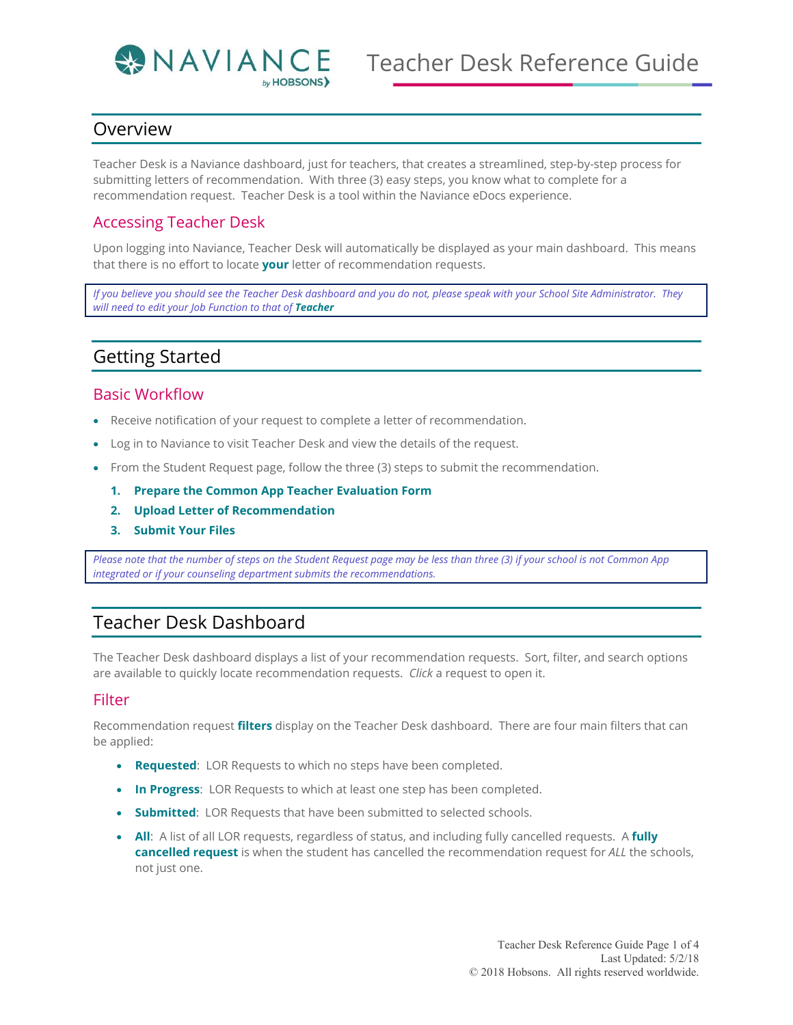

## Overview

Teacher Desk is a Naviance dashboard, just for teachers, that creates a streamlined, step-by-step process for submitting letters of recommendation. With three (3) easy steps, you know what to complete for a recommendation request. Teacher Desk is a tool within the Naviance eDocs experience.

### Accessing Teacher Desk

Upon logging into Naviance, Teacher Desk will automatically be displayed as your main dashboard. This means that there is no effort to locate **your** letter of recommendation requests.

*If you believe you should see the Teacher Desk dashboard and you do not, please speak with your School Site Administrator. They will need to edit your Job Function to that of Teacher*

## Getting Started

#### Basic Workflow

- Receive notification of your request to complete a letter of recommendation.
- Log in to Naviance to visit Teacher Desk and view the details of the request.
- From the Student Request page, follow the three (3) steps to submit the recommendation.
	- **1. Prepare the Common App Teacher Evaluation Form**
	- **2. Upload Letter of Recommendation**
	- **3. Submit Your Files**

*Please note that the number of steps on the Student Request page may be less than three (3) if your school is not Common App integrated or if your counseling department submits the recommendations.* 

## Teacher Desk Dashboard

The Teacher Desk dashboard displays a list of your recommendation requests. Sort, filter, and search options are available to quickly locate recommendation requests. *Click* a request to open it.

#### Filter

Recommendation request **filters** display on the Teacher Desk dashboard. There are four main filters that can be applied:

- **Requested**: LOR Requests to which no steps have been completed.
- **In Progress**: LOR Requests to which at least one step has been completed.
- **Submitted:** LOR Requests that have been submitted to selected schools.
- **All**: A list of all LOR requests, regardless of status, and including fully cancelled requests. A **fully cancelled request** is when the student has cancelled the recommendation request for *ALL* the schools, not just one.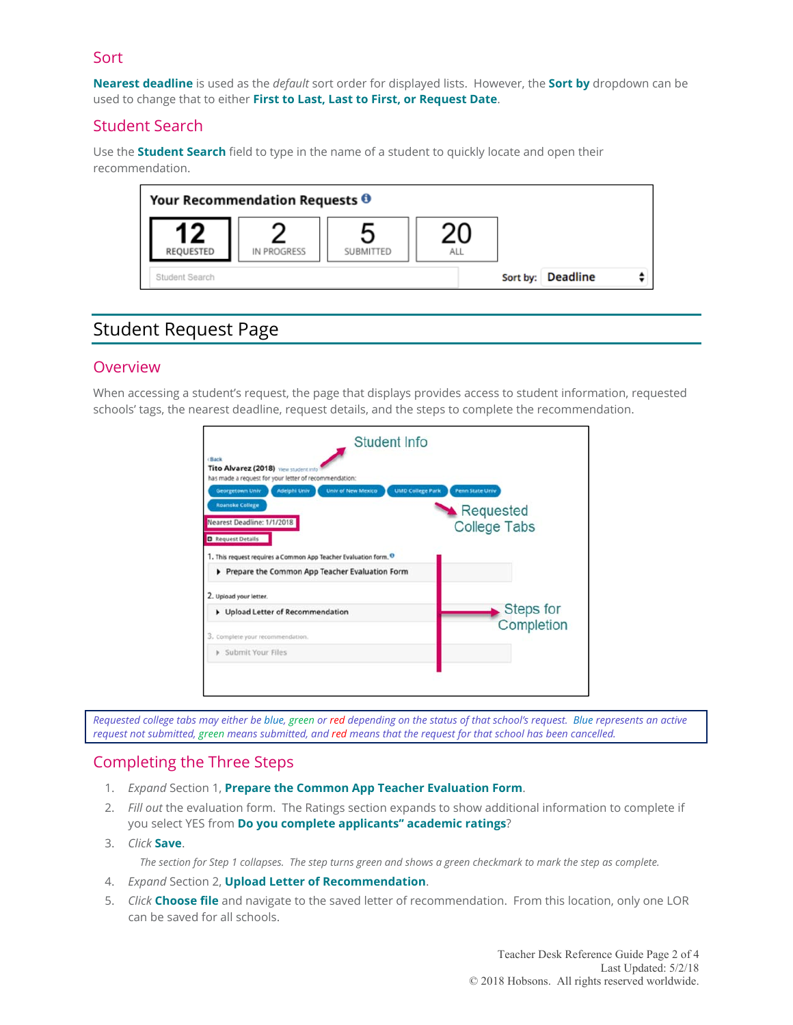### Sort

**Nearest deadline** is used as the *default* sort order for displayed lists. However, the **Sort by** dropdown can be used to change that to either **First to Last, Last to First, or Request Date**.

## Student Search

Use the **Student Search** field to type in the name of a student to quickly locate and open their recommendation.



# Student Request Page

## Overview

When accessing a student's request, the page that displays provides access to student information, requested schools' tags, the nearest deadline, request details, and the steps to complete the recommendation.



*Requested college tabs may either be blue, green or red depending on the status of that school's request. Blue represents an active*  request not submitted, green means submitted, and red means that the request for that school has been cancelled.

## Completing the Three Steps

- 1. *Expand* Section 1, **Prepare the Common App Teacher Evaluation Form**.
- 2. *Fill out* the evaluation form. The Ratings section expands to show additional information to complete if you select YES from **Do you complete applicants'' academic ratings**?
- 3. *Click* **Save**.

*The section for Step 1 collapses. The step turns green and shows a green checkmark to mark the step as complete.* 

- 4. *Expand* Section 2, **Upload Letter of Recommendation**.
- 5. *Click* **Choose file** and navigate to the saved letter of recommendation. From this location, only one LOR can be saved for all schools.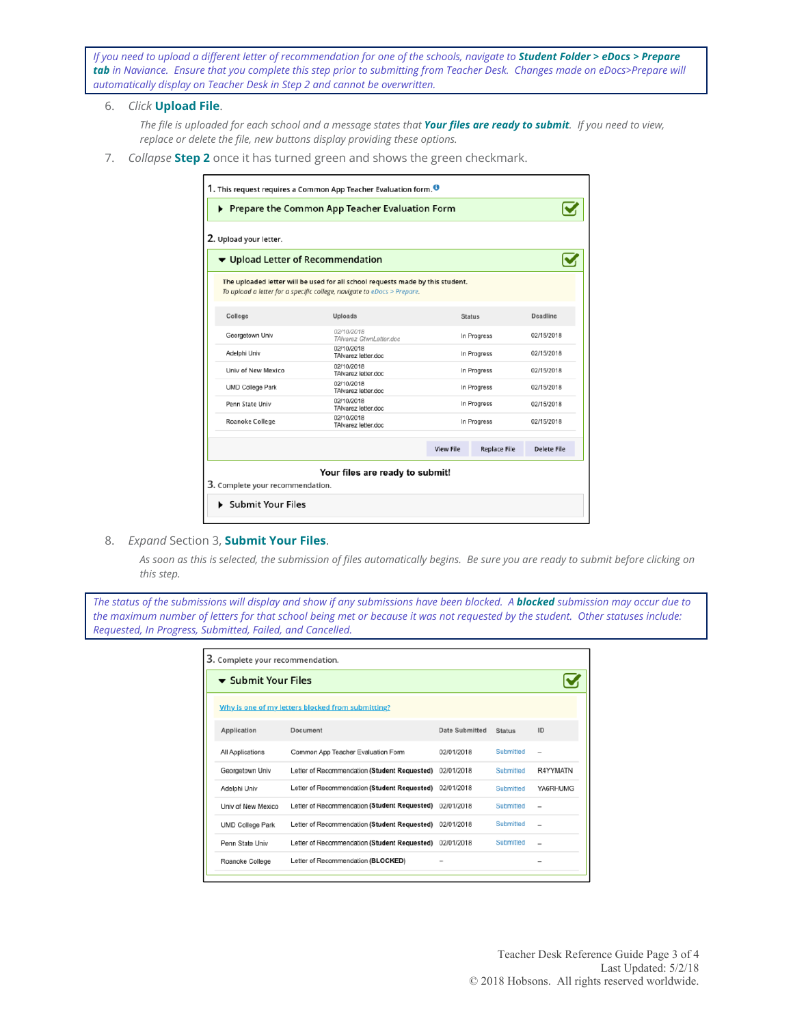*If you need to upload a different letter of recommendation for one of the schools, navigate to Student Folder > eDocs > Prepare tab in Naviance. Ensure that you complete this step prior to submitting from Teacher Desk. Changes made on eDocs>Prepare will automatically display on Teacher Desk in Step 2 and cannot be overwritten.* 

6. *Click* **Upload File**.

*The file is uploaded for each school and a message states that Your files are ready to submit. If you need to view, replace or delete the file, new buttons display providing these options.* 

7. *Collapse* **Step 2** once it has turned green and shows the green checkmark.

| 2. Upload your letter.            |                                                                                                                                                           |                  |                     |             |
|-----------------------------------|-----------------------------------------------------------------------------------------------------------------------------------------------------------|------------------|---------------------|-------------|
| ▼ Upload Letter of Recommendation |                                                                                                                                                           |                  |                     |             |
|                                   | The uploaded letter will be used for all school requests made by this student.<br>To upload a letter for a specific college, navigate to eDocs > Prepare. |                  |                     |             |
| College                           | Uploads                                                                                                                                                   |                  | <b>Status</b>       |             |
| Georgetown Univ                   | 02/10/2018<br>TAIvarez GtwnLetter.doc                                                                                                                     |                  | In Progress         | 02/15/2018  |
| Adelphi Univ                      | 02/10/2018<br>TAIvarez letter.doc                                                                                                                         |                  | In Progress         | 02/15/2018  |
| Univ of New Mexico                | 02/10/2018<br>TAIvarez letter.doc                                                                                                                         |                  | In Progress         |             |
| <b>UMD College Park</b>           | 02/10/2018<br>TAIvarez letter.doc                                                                                                                         |                  | In Progress         |             |
| Penn State Univ                   | 02/10/2018<br>TAlvarez letter doc                                                                                                                         |                  | In Progress         |             |
| Roanoke College                   | 02/10/2018<br>TAIvarez letter.doc                                                                                                                         |                  | In Progress         |             |
|                                   |                                                                                                                                                           | <b>View File</b> | <b>Replace File</b> | Delete File |
|                                   | Your files are ready to submit!                                                                                                                           |                  |                     |             |

8. *Expand* Section 3, **Submit Your Files**.

*As soon as this is selected, the submission of files automatically begins. Be sure you are ready to submit before clicking on this step.* 

*The status of the submissions will display and show if any submissions have been blocked. A blocked submission may occur due to the maximum number of letters for that school being met or because it was not requested by the student. Other statuses include: Requested, In Progress, Submitted, Failed, and Cancelled.* 

| 3. Complete your recommendation.                  |                                              |                       |               |          |  |  |
|---------------------------------------------------|----------------------------------------------|-----------------------|---------------|----------|--|--|
| $\blacktriangleright$ Submit Your Files           |                                              |                       |               |          |  |  |
| Why is one of my letters blocked from submitting? |                                              |                       |               |          |  |  |
| Application                                       | Document                                     | <b>Date Submitted</b> | <b>Status</b> | ID       |  |  |
| All Applications                                  | Common App Teacher Evaluation Form           | 02/01/2018            | Submitted     |          |  |  |
| Georgetown Univ                                   | Letter of Recommendation (Student Requested) | 02/01/2018            | Submitted     | R4YYMATN |  |  |
| Adelphi Univ                                      | Letter of Recommendation (Student Requested) | 02/01/2018            | Submitted     | YA6RHUMG |  |  |
| Univ of New Mexico                                | Letter of Recommendation (Student Requested) | 02/01/2018            | Submitted     |          |  |  |
| <b>UMD College Park</b>                           | Letter of Recommendation (Student Requested) | 02/01/2018            | Submitted     |          |  |  |
| Penn State Univ                                   | Letter of Recommendation (Student Requested) | 02/01/2018            | Submitted     |          |  |  |
| Roanoke College                                   | Letter of Recommendation (BLOCKED)           |                       |               |          |  |  |
|                                                   |                                              |                       |               |          |  |  |